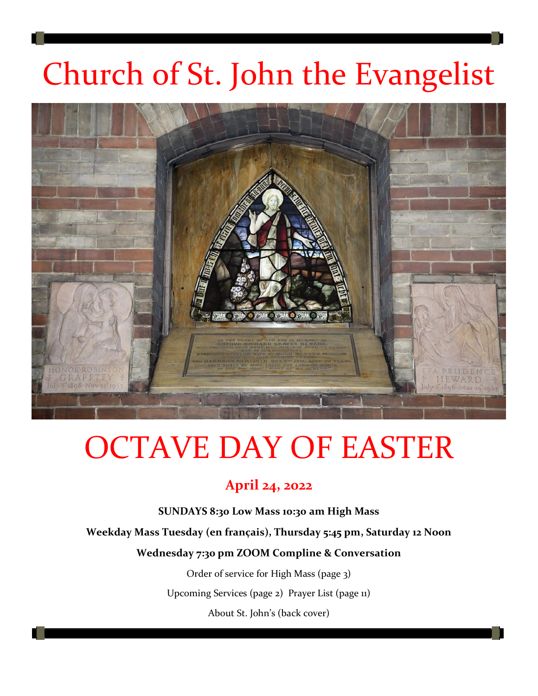# Church of St. John the Evangelist



# OCTAVE DAY OF EASTER

## **April 24, 2022**

**SUNDAYS 8:30 Low Mass 10:30 am High Mass**

**Weekday Mass Tuesday (en français), Thursday 5:45 pm, Saturday 12 Noon** 

**Wednesday 7:30 pm ZOOM Compline & Conversation**

Order of service for High Mass (page 3)

Upcoming Services (page 2) Prayer List (page 11)

About St. John's (back cover)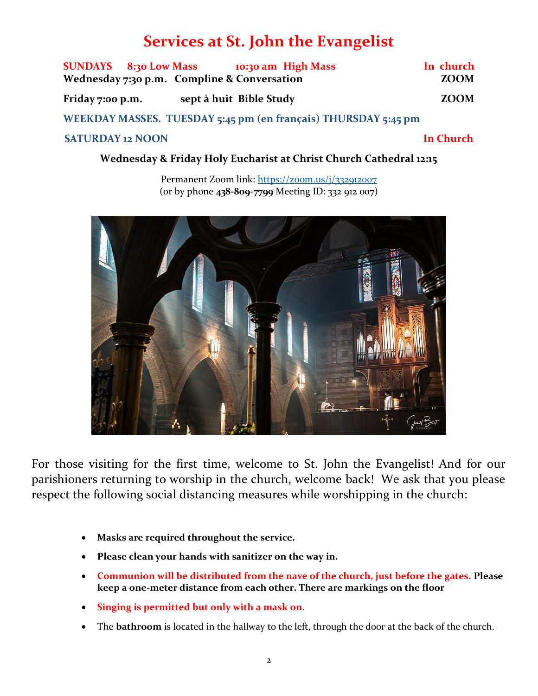## **Services at St. John the Evangelist**

| SUNDAYS 8:30 Low Mass 10:30 am High Mass<br>Wednesday 7:30 p.m. Compline & Conversation | In church<br><b>ZOOM</b> |
|-----------------------------------------------------------------------------------------|--------------------------|
| sept à huit Bible Study<br>Friday 7:00 p.m.                                             | <b>ZOOM</b>              |
| WEEKDAY MASSES. TUESDAY 5:45 pm (en français) THURSDAY 5:45 pm                          |                          |
| <b>SATURDAY 12 NOON</b>                                                                 | In Church                |

**Wednesday & Friday Holy Eucharist at Christ Church Cathedral 12:15**

Permanent Zoom link:<https://zoom.us/j/332912007> (or by phone **438-809-7799** Meeting ID: 332 912 007)



For those visiting for the first time, welcome to St. John the Evangelist! And for our parishioners returning to worship in the church, welcome back! We ask that you please respect the following social distancing measures while worshipping in the church:

- **Masks are required throughout the service.**
- **Please clean your hands with sanitizer on the way in.**
- **Communion will be distributed from the nave of the church, just before the gates. Please keep a one-meter distance from each other. There are markings on the floor**
- **Singing is permitted but only with a mask on.**
- The **bathroom** is located in the hallway to the left, through the door at the back of the church.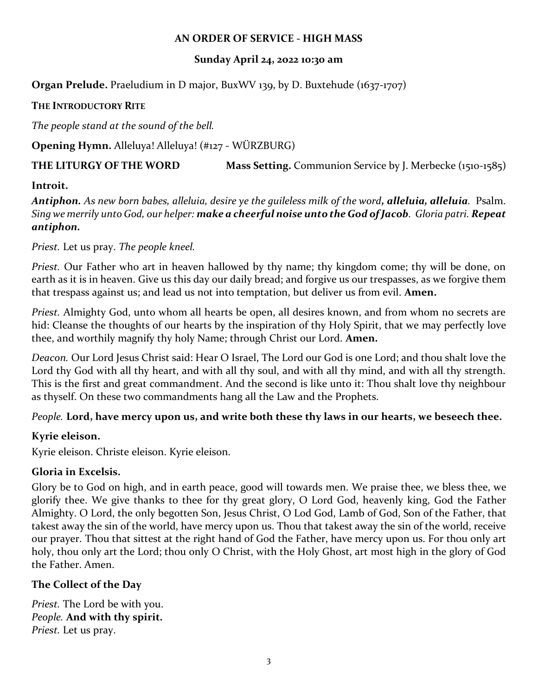#### **AN ORDER OF SERVICE - HIGH MASS**

#### **Sunday April 24, 2o22 10:30 am**

**Organ Prelude.** Praeludium in D major, BuxWV 139, by D. Buxtehude (1637-1707)

#### **THE INTRODUCTORY RITE**

*The people stand at the sound of the bell.*

**Opening Hymn.** Alleluya! Alleluya! (#127 - WÜRZBURG)

### **THE LITURGY OF THE WORD Mass Setting.** Communion Service by J. Merbecke (1510-1585)

#### **Introit.**

*Antiphon. As new born babes, alleluia, desire ye the guileless milk of the word, alleluia, alleluia.* Psalm. *Sing we merrily unto God, our helper: make a cheerful noise unto the God of Jacob. Gloria patri. Repeat antiphon.*

*Priest.* Let us pray. *The people kneel.*

*Priest.* Our Father who art in heaven hallowed by thy name; thy kingdom come; thy will be done, on earth as it is in heaven. Give us this day our daily bread; and forgive us our trespasses, as we forgive them that trespass against us; and lead us not into temptation, but deliver us from evil. **Amen.**

*Priest.* Almighty God, unto whom all hearts be open, all desires known, and from whom no secrets are hid: Cleanse the thoughts of our hearts by the inspiration of thy Holy Spirit, that we may perfectly love thee, and worthily magnify thy holy Name; through Christ our Lord. **Amen.**

*Deacon.* Our Lord Jesus Christ said: Hear O Israel, The Lord our God is one Lord; and thou shalt love the Lord thy God with all thy heart, and with all thy soul, and with all thy mind, and with all thy strength. This is the first and great commandment. And the second is like unto it: Thou shalt love thy neighbour as thyself. On these two commandments hang all the Law and the Prophets.

#### *People.* **Lord, have mercy upon us, and write both these thy laws in our hearts, we beseech thee.**

#### **Kyrie eleison.**

Kyrie eleison. Christe eleison. Kyrie eleison.

### **Gloria in Excelsis.**

Glory be to God on high, and in earth peace, good will towards men. We praise thee, we bless thee, we glorify thee. We give thanks to thee for thy great glory, O Lord God, heavenly king, God the Father Almighty. O Lord, the only begotten Son, Jesus Christ, O Lod God, Lamb of God, Son of the Father, that takest away the sin of the world, have mercy upon us. Thou that takest away the sin of the world, receive our prayer. Thou that sittest at the right hand of God the Father, have mercy upon us. For thou only art holy, thou only art the Lord; thou only O Christ, with the Holy Ghost, art most high in the glory of God the Father. Amen.

### **The Collect of the Day**

*Priest.* The Lord be with you. *People.* **And with thy spirit.** *Priest.* Let us pray.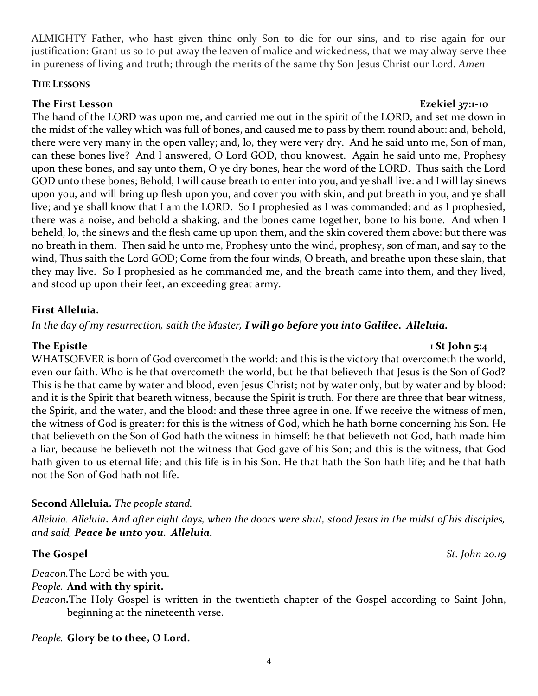ALMIGHTY Father, who hast given thine only Son to die for our sins, and to rise again for our justification: Grant us so to put away the leaven of malice and wickedness, that we may alway serve thee in pureness of living and truth; through the merits of the same thy Son Jesus Christ our Lord. *Amen*

#### **THE LESSONS**

#### **The First Lesson Ezekiel 37:1-10**

The hand of the LORD was upon me, and carried me out in the spirit of the LORD, and set me down in the midst of the valley which was full of bones, and caused me to pass by them round about: and, behold, there were very many in the open valley; and, lo, they were very dry. And he said unto me, Son of man, can these bones live? And I answered, O Lord GOD, thou knowest. Again he said unto me, Prophesy upon these bones, and say unto them, O ye dry bones, hear the word of the LORD. Thus saith the Lord GOD unto these bones; Behold, I will cause breath to enter into you, and ye shall live: and I will lay sinews upon you, and will bring up flesh upon you, and cover you with skin, and put breath in you, and ye shall live; and ye shall know that I am the LORD. So I prophesied as I was commanded: and as I prophesied, there was a noise, and behold a shaking, and the bones came together, bone to his bone. And when I beheld, lo, the sinews and the flesh came up upon them, and the skin covered them above: but there was no breath in them. Then said he unto me, Prophesy unto the wind, prophesy, son of man, and say to the wind, Thus saith the Lord GOD; Come from the four winds, O breath, and breathe upon these slain, that they may live. So I prophesied as he commanded me, and the breath came into them, and they lived, and stood up upon their feet, an exceeding great army.

#### **First Alleluia.**

*In the day of my resurrection, saith the Master, I will go before you into Galilee. Alleluia.*

#### WHATSOEVER is born of God overcometh the world: and this is the victory that overcometh the world, even our faith. Who is he that overcometh the world, but he that believeth that Jesus is the Son of God? This is he that came by water and blood, even Jesus Christ; not by water only, but by water and by blood: and it is the Spirit that beareth witness, because the Spirit is truth. For there are three that bear witness, the Spirit, and the water, and the blood: and these three agree in one. If we receive the witness of men, the witness of God is greater: for this is the witness of God, which he hath borne concerning his Son. He that believeth on the Son of God hath the witness in himself: he that believeth not God, hath made him a liar, because he believeth not the witness that God gave of his Son; and this is the witness, that God hath given to us eternal life; and this life is in his Son. He that hath the Son hath life; and he that hath not the Son of God hath not life.

### **Second Alleluia.** *The people stand.*

*Alleluia. Alleluia. And after eight days, when the doors were shut, stood Jesus in the midst of his disciples, and said, Peace be unto you. Alleluia.*

*Deacon.*The Lord be with you. *People.* **And with thy spirit.**

*Deacon.*The Holy Gospel is written in the twentieth chapter of the Gospel according to Saint John, beginning at the nineteenth verse.

*People.* **Glory be to thee, O Lord.**

#### **The Epistle 1 St John 5:4**

**The Gospel** *St. John 20.19*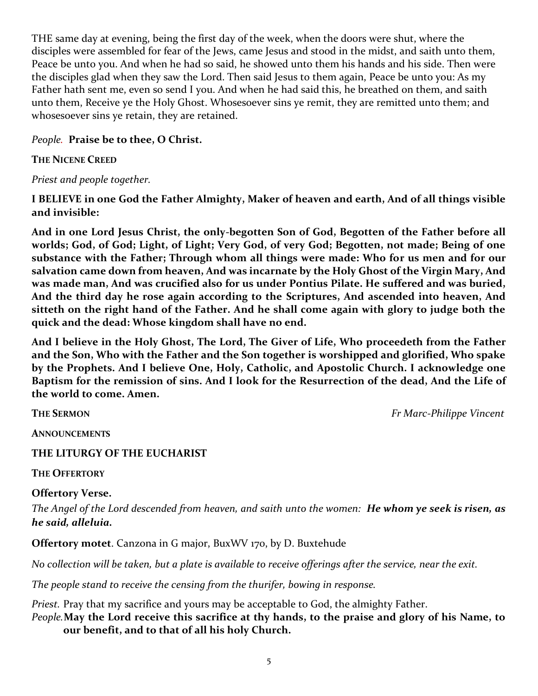THE same day at evening, being the first day of the week, when the doors were shut, where the disciples were assembled for fear of the Jews, came Jesus and stood in the midst, and saith unto them, Peace be unto you. And when he had so said, he showed unto them his hands and his side. Then were the disciples glad when they saw the Lord. Then said Jesus to them again, Peace be unto you: As my Father hath sent me, even so send I you. And when he had said this, he breathed on them, and saith unto them, Receive ye the Holy Ghost. Whosesoever sins ye remit, they are remitted unto them; and whosesoever sins ye retain, they are retained.

#### *People.* **Praise be to thee, O Christ.**

#### **THE NICENE CREED**

#### *Priest and people together.*

#### **I BELIEVE in one God the Father Almighty, Maker of heaven and earth, And of all things visible and invisible:**

**And in one Lord Jesus Christ, the only-begotten Son of God, Begotten of the Father before all worlds; God, of God; Light, of Light; Very God, of very God; Begotten, not made; Being of one substance with the Father; Through whom all things were made: Who for us men and for our salvation came down from heaven, And was incarnate by the Holy Ghost of the Virgin Mary, And was made man, And was crucified also for us under Pontius Pilate. He suffered and was buried, And the third day he rose again according to the Scriptures, And ascended into heaven, And sitteth on the right hand of the Father. And he shall come again with glory to judge both the quick and the dead: Whose kingdom shall have no end.**

**And I believe in the Holy Ghost, The Lord, The Giver of Life, Who proceedeth from the Father and the Son, Who with the Father and the Son together is worshipped and glorified, Who spake by the Prophets. And I believe One, Holy, Catholic, and Apostolic Church. I acknowledge one Baptism for the remission of sins. And I look for the Resurrection of the dead, And the Life of the world to come. Amen.**

**THE SERMON** *Fr Marc-Philippe Vincent*

**ANNOUNCEMENTS**

#### **THE LITURGY OF THE EUCHARIST**

**THE OFFERTORY**

#### **Offertory Verse.**

*The Angel of the Lord descended from heaven, and saith unto the women: He whom ye seek is risen, as he said, alleluia.*

**Offertory motet**. Canzona in G major, BuxWV 170, by D. Buxtehude

*No collection will be taken, but a plate is available to receive offerings after the service, near the exit.*

*The people stand to receive the censing from the thurifer, bowing in response.* 

*Priest.* Pray that my sacrifice and yours may be acceptable to God, the almighty Father.

*People.***May the Lord receive this sacrifice at thy hands, to the praise and glory of his Name, to our benefit, and to that of all his holy Church.**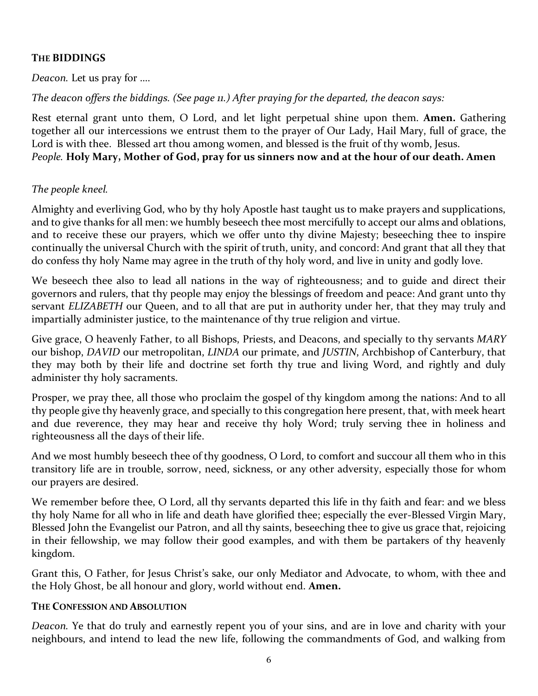#### **THE BIDDINGS**

*Deacon.* Let us pray for ….

*The deacon offers the biddings. (See page 11.) After praying for the departed, the deacon says:*

Rest eternal grant unto them, O Lord, and let light perpetual shine upon them. **Amen.** Gathering together all our intercessions we entrust them to the prayer of Our Lady, Hail Mary, full of grace, the Lord is with thee. Blessed art thou among women, and blessed is the fruit of thy womb, Jesus. *People.* **Holy Mary, Mother of God, pray for us sinners now and at the hour of our death. Amen**

#### *The people kneel.*

Almighty and everliving God, who by thy holy Apostle hast taught us to make prayers and supplications, and to give thanks for all men: we humbly beseech thee most mercifully to accept our alms and oblations, and to receive these our prayers, which we offer unto thy divine Majesty; beseeching thee to inspire continually the universal Church with the spirit of truth, unity, and concord: And grant that all they that do confess thy holy Name may agree in the truth of thy holy word, and live in unity and godly love.

We beseech thee also to lead all nations in the way of righteousness; and to guide and direct their governors and rulers, that thy people may enjoy the blessings of freedom and peace: And grant unto thy servant *ELIZABETH* our Queen, and to all that are put in authority under her, that they may truly and impartially administer justice, to the maintenance of thy true religion and virtue.

Give grace, O heavenly Father, to all Bishops, Priests, and Deacons, and specially to thy servants *MARY*  our bishop, *DAVID* our metropolitan, *LINDA* our primate, and *JUSTIN*, Archbishop of Canterbury, that they may both by their life and doctrine set forth thy true and living Word, and rightly and duly administer thy holy sacraments.

Prosper, we pray thee, all those who proclaim the gospel of thy kingdom among the nations: And to all thy people give thy heavenly grace, and specially to this congregation here present, that, with meek heart and due reverence, they may hear and receive thy holy Word; truly serving thee in holiness and righteousness all the days of their life.

And we most humbly beseech thee of thy goodness, O Lord, to comfort and succour all them who in this transitory life are in trouble, sorrow, need, sickness, or any other adversity, especially those for whom our prayers are desired.

We remember before thee, O Lord, all thy servants departed this life in thy faith and fear: and we bless thy holy Name for all who in life and death have glorified thee; especially the ever-Blessed Virgin Mary, Blessed John the Evangelist our Patron, and all thy saints, beseeching thee to give us grace that, rejoicing in their fellowship, we may follow their good examples, and with them be partakers of thy heavenly kingdom.

Grant this, O Father, for Jesus Christ's sake, our only Mediator and Advocate, to whom, with thee and the Holy Ghost, be all honour and glory, world without end. **Amen.**

#### **THE CONFESSION AND ABSOLUTION**

*Deacon.* Ye that do truly and earnestly repent you of your sins, and are in love and charity with your neighbours, and intend to lead the new life, following the commandments of God, and walking from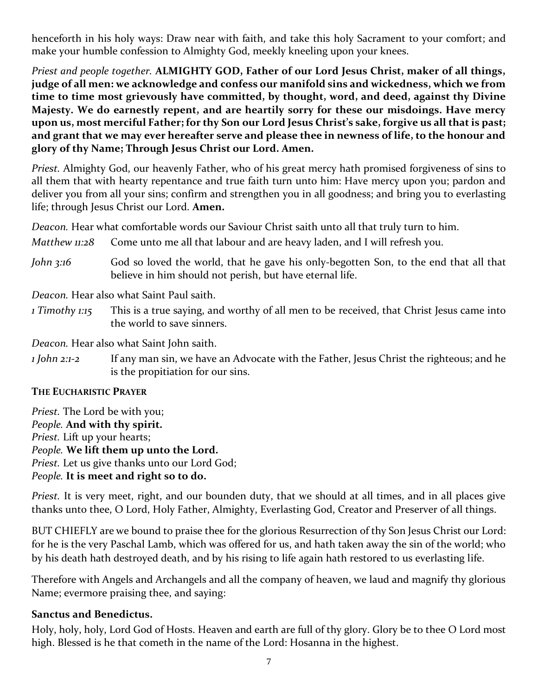henceforth in his holy ways: Draw near with faith, and take this holy Sacrament to your comfort; and make your humble confession to Almighty God, meekly kneeling upon your knees.

*Priest and people together.* **ALMIGHTY GOD, Father of our Lord Jesus Christ, maker of all things, judge of all men: we acknowledge and confess our manifold sins and wickedness, which we from time to time most grievously have committed, by thought, word, and deed, against thy Divine Majesty. We do earnestly repent, and are heartily sorry for these our misdoings. Have mercy upon us, most merciful Father; for thy Son our Lord Jesus Christ's sake, forgive us all that is past; and grant that we may ever hereafter serve and please thee in newness of life, to the honour and glory of thy Name; Through Jesus Christ our Lord. Amen.**

*Priest.* Almighty God, our heavenly Father, who of his great mercy hath promised forgiveness of sins to all them that with hearty repentance and true faith turn unto him: Have mercy upon you; pardon and deliver you from all your sins; confirm and strengthen you in all goodness; and bring you to everlasting life; through Jesus Christ our Lord. **Amen.**

*Deacon.* Hear what comfortable words our Saviour Christ saith unto all that truly turn to him.

- *Matthew 11:28* Come unto me all that labour and are heavy laden, and I will refresh you.
- *John 3:16* God so loved the world, that he gave his only-begotten Son, to the end that all that believe in him should not perish, but have eternal life.

*Deacon.* Hear also what Saint Paul saith.

*1 Timothy 1:15* This is a true saying, and worthy of all men to be received, that Christ Jesus came into the world to save sinners.

*Deacon.* Hear also what Saint John saith.

*1 John 2:1-2* If any man sin, we have an Advocate with the Father, Jesus Christ the righteous; and he is the propitiation for our sins.

#### **THE EUCHARISTIC PRAYER**

*Priest.* The Lord be with you; *People.* **And with thy spirit.** *Priest.* Lift up your hearts; *People.* **We lift them up unto the Lord.** *Priest.* Let us give thanks unto our Lord God; *People.* **It is meet and right so to do.**

*Priest.* It is very meet, right, and our bounden duty, that we should at all times, and in all places give thanks unto thee, O Lord, Holy Father, Almighty, Everlasting God, Creator and Preserver of all things.

BUT CHIEFLY are we bound to praise thee for the glorious Resurrection of thy Son Jesus Christ our Lord: for he is the very Paschal Lamb, which was offered for us, and hath taken away the sin of the world; who by his death hath destroyed death, and by his rising to life again hath restored to us everlasting life.

Therefore with Angels and Archangels and all the company of heaven, we laud and magnify thy glorious Name; evermore praising thee, and saying:

#### **Sanctus and Benedictus.**

Holy, holy, holy, Lord God of Hosts. Heaven and earth are full of thy glory. Glory be to thee O Lord most high. Blessed is he that cometh in the name of the Lord: Hosanna in the highest.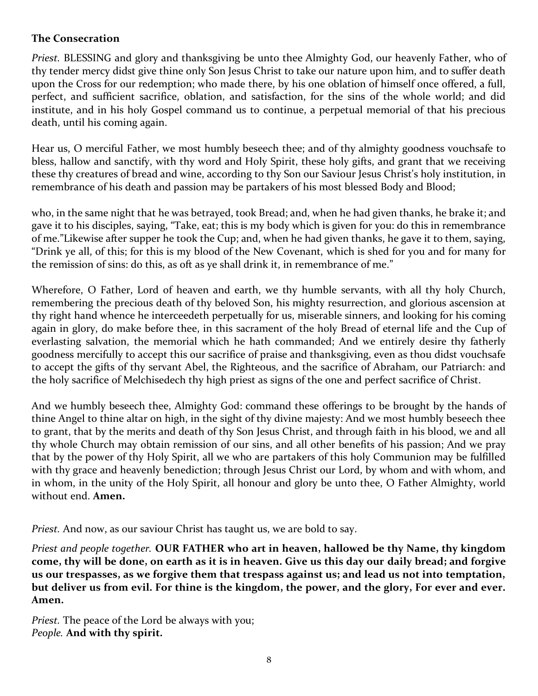#### **The Consecration**

*Priest.* BLESSING and glory and thanksgiving be unto thee Almighty God, our heavenly Father, who of thy tender mercy didst give thine only Son Jesus Christ to take our nature upon him, and to suffer death upon the Cross for our redemption; who made there, by his one oblation of himself once offered, a full, perfect, and sufficient sacrifice, oblation, and satisfaction, for the sins of the whole world; and did institute, and in his holy Gospel command us to continue, a perpetual memorial of that his precious death, until his coming again.

Hear us, O merciful Father, we most humbly beseech thee; and of thy almighty goodness vouchsafe to bless, hallow and sanctify, with thy word and Holy Spirit, these holy gifts, and grant that we receiving these thy creatures of bread and wine, according to thy Son our Saviour Jesus Christ's holy institution, in remembrance of his death and passion may be partakers of his most blessed Body and Blood;

who, in the same night that he was betrayed, took Bread; and, when he had given thanks, he brake it; and gave it to his disciples, saying, "Take, eat; this is my body which is given for you: do this in remembrance of me."Likewise after supper he took the Cup; and, when he had given thanks, he gave it to them, saying, "Drink ye all, of this; for this is my blood of the New Covenant, which is shed for you and for many for the remission of sins: do this, as oft as ye shall drink it, in remembrance of me."

Wherefore, O Father, Lord of heaven and earth, we thy humble servants, with all thy holy Church, remembering the precious death of thy beloved Son, his mighty resurrection, and glorious ascension at thy right hand whence he interceedeth perpetually for us, miserable sinners, and looking for his coming again in glory, do make before thee, in this sacrament of the holy Bread of eternal life and the Cup of everlasting salvation, the memorial which he hath commanded; And we entirely desire thy fatherly goodness mercifully to accept this our sacrifice of praise and thanksgiving, even as thou didst vouchsafe to accept the gifts of thy servant Abel, the Righteous, and the sacrifice of Abraham, our Patriarch: and the holy sacrifice of Melchisedech thy high priest as signs of the one and perfect sacrifice of Christ.

And we humbly beseech thee, Almighty God: command these offerings to be brought by the hands of thine Angel to thine altar on high, in the sight of thy divine majesty: And we most humbly beseech thee to grant, that by the merits and death of thy Son Jesus Christ, and through faith in his blood, we and all thy whole Church may obtain remission of our sins, and all other benefits of his passion; And we pray that by the power of thy Holy Spirit, all we who are partakers of this holy Communion may be fulfilled with thy grace and heavenly benediction; through Jesus Christ our Lord, by whom and with whom, and in whom, in the unity of the Holy Spirit, all honour and glory be unto thee, O Father Almighty, world without end. **Amen.**

*Priest.* And now, as our saviour Christ has taught us, we are bold to say.

*Priest and people together.* **OUR FATHER who art in heaven, hallowed be thy Name, thy kingdom come, thy will be done, on earth as it is in heaven. Give us this day our daily bread; and forgive us our trespasses, as we forgive them that trespass against us; and lead us not into temptation, but deliver us from evil. For thine is the kingdom, the power, and the glory, For ever and ever. Amen.**

*Priest.* The peace of the Lord be always with you; *People.* **And with thy spirit.**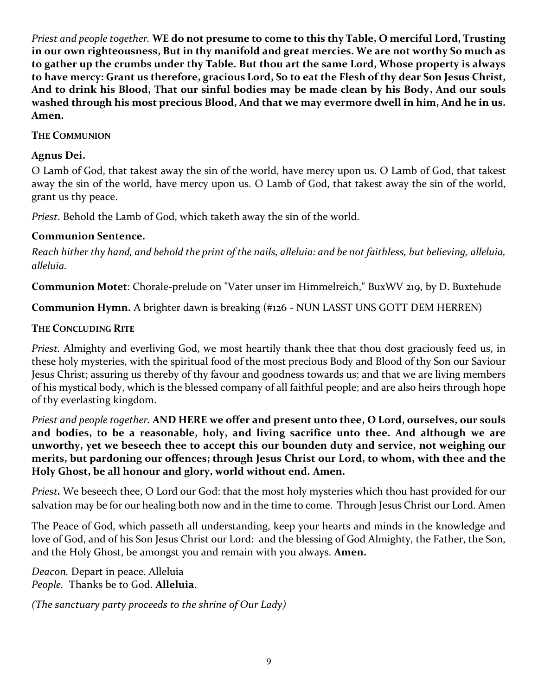*Priest and people together.* **WE do not presume to come to this thy Table, O merciful Lord, Trusting in our own righteousness, But in thy manifold and great mercies. We are not worthy So much as to gather up the crumbs under thy Table. But thou art the same Lord, Whose property is always to have mercy: Grant us therefore, gracious Lord, So to eat the Flesh of thy dear Son Jesus Christ, And to drink his Blood, That our sinful bodies may be made clean by his Body, And our souls washed through his most precious Blood, And that we may evermore dwell in him, And he in us. Amen.**

#### **THE COMMUNION**

#### **Agnus Dei.**

O Lamb of God, that takest away the sin of the world, have mercy upon us. O Lamb of God, that takest away the sin of the world, have mercy upon us. O Lamb of God, that takest away the sin of the world, grant us thy peace.

*Priest*. Behold the Lamb of God, which taketh away the sin of the world.

#### **Communion Sentence.**

*Reach hither thy hand, and behold the print of the nails, alleluia: and be not faithless, but believing, alleluia, alleluia.*

**Communion Motet**: Chorale-prelude on "Vater unser im Himmelreich," BuxWV 219, by D. Buxtehude

**Communion Hymn.** A brighter dawn is breaking (#126 - NUN LASST UNS GOTT DEM HERREN)

#### **THE CONCLUDING RITE**

*Priest.* Almighty and everliving God, we most heartily thank thee that thou dost graciously feed us, in these holy mysteries, with the spiritual food of the most precious Body and Blood of thy Son our Saviour Jesus Christ; assuring us thereby of thy favour and goodness towards us; and that we are living members of his mystical body, which is the blessed company of all faithful people; and are also heirs through hope of thy everlasting kingdom.

*Priest and people together.* **AND HERE we offer and present unto thee, O Lord, ourselves, our souls and bodies, to be a reasonable, holy, and living sacrifice unto thee. And although we are unworthy, yet we beseech thee to accept this our bounden duty and service, not weighing our merits, but pardoning our offences; through Jesus Christ our Lord, to whom, with thee and the Holy Ghost, be all honour and glory, world without end. Amen.**

*Priest.* We beseech thee, O Lord our God: that the most holy mysteries which thou hast provided for our salvation may be for our healing both now and in the time to come. Through Jesus Christ our Lord. Amen

The Peace of God, which passeth all understanding, keep your hearts and minds in the knowledge and love of God, and of his Son Jesus Christ our Lord: and the blessing of God Almighty, the Father, the Son, and the Holy Ghost, be amongst you and remain with you always. **Amen.**

*Deacon.* Depart in peace. Alleluia *People.* Thanks be to God. **Alleluia**.

*(The sanctuary party proceeds to the shrine of Our Lady)*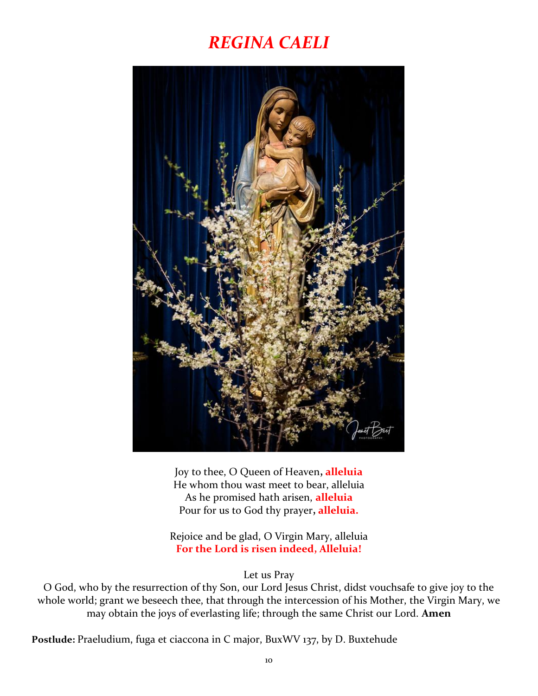## *REGINA CAELI*



Joy to thee, O Queen of Heaven**, alleluia** He whom thou wast meet to bear, alleluia As he promised hath arisen, **alleluia** Pour for us to God thy prayer**, alleluia.**

Rejoice and be glad, O Virgin Mary, alleluia **For the Lord is risen indeed, Alleluia!**

Let us Pray

O God, who by the resurrection of thy Son, our Lord Jesus Christ, didst vouchsafe to give joy to the whole world; grant we beseech thee, that through the intercession of his Mother, the Virgin Mary, we may obtain the joys of everlasting life; through the same Christ our Lord. **Amen**

**Postlude:** Praeludium, fuga et ciaccona in C major, BuxWV 137, by D. Buxtehude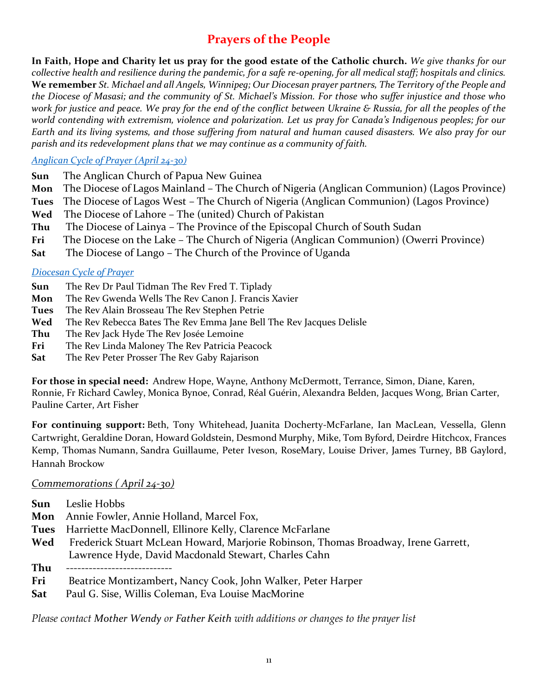### **Prayers of the People**

**In Faith, Hope and Charity let us pray for the good estate of the Catholic church.** *We give thanks for our collective health and resilience during the pandemic, for a safe re-opening, for all medical staff; hospitals and clinics.*  **We remember** *St. Michael and all Angels, Winnipeg; Our Diocesan prayer partners, The Territory of the People and the Diocese of Masasi; and the community of St. Michael's Mission. For those who suffer injustice and those who work for justice and peace. We pray for the end of the conflict between Ukraine & Russia, for all the peoples of the world contending with extremism, violence and polarization. Let us pray for Canada's Indigenous peoples; for our Earth and its living systems, and those suffering from natural and human caused disasters. We also pray for our parish and its redevelopment plans that we may continue as a community of faith.*

#### *[Anglican Cycle of Prayer \(April 24-30\)](https://anglicancommunion.org/media/422641/acp_from-aba-to-zululand-2021-to-2023_web.pdf)*

- **Sun** The Anglican Church of Papua New Guinea
- **Mon** The Diocese of Lagos Mainland The Church of Nigeria (Anglican Communion) (Lagos Province)
- **Tues** The Diocese of Lagos West The Church of Nigeria (Anglican Communion) (Lagos Province)
- **Wed** The Diocese of Lahore The (united) Church of Pakistan
- **Thu** The Diocese of Lainya The Province of the Episcopal Church of South Sudan
- **Fri** The Diocese on the Lake The Church of Nigeria (Anglican Communion) (Owerri Province)
- **Sat** The Diocese of Lango The Church of the Province of Uganda

#### *[Diocesan Cycle of Prayer](https://static1.squarespace.com/static/53339102e4b00c509597c34c/t/6001f5b4514b6c73056efd5b/1610741172969/Prayer+Roster+2021.pdf)*

- **Sun** The Rev Dr Paul Tidman The Rev Fred T. Tiplady
- **Mon** The Rev Gwenda Wells The Rev Canon J. Francis Xavier
- **Tues** The Rev Alain Brosseau The Rev Stephen Petrie
- **Wed** The Rev Rebecca Bates The Rev Emma Jane Bell The Rev Jacques Delisle
- **Thu** The Rev Jack Hyde The Rev Josée Lemoine
- **Fri** The Rev Linda Maloney The Rev Patricia Peacock
- **Sat** The Rev Peter Prosser The Rev Gaby Rajarison

**For those in special need:** Andrew Hope, Wayne, Anthony McDermott, Terrance, Simon, Diane, Karen, Ronnie, Fr Richard Cawley, Monica Bynoe, Conrad, Réal Guérin, Alexandra Belden, Jacques Wong, Brian Carter, Pauline Carter, Art Fisher

**For continuing support:** Beth, Tony Whitehead, Juanita Docherty-McFarlane, Ian MacLean, Vessella, Glenn Cartwright, Geraldine Doran, Howard Goldstein, Desmond Murphy, Mike, Tom Byford, Deirdre Hitchcox, Frances Kemp, Thomas Numann, Sandra Guillaume, Peter Iveson, RoseMary, Louise Driver, James Turney, BB Gaylord, Hannah Brockow

#### *Commemorations ( April 24-30)*

- **Sun** Leslie Hobbs
- **Mon** Annie Fowler, Annie Holland, Marcel Fox,
- **Tues** Harriette MacDonnell, Ellinore Kelly, Clarence McFarlane
- **Wed** Frederick Stuart McLean Howard, Marjorie Robinson, Thomas Broadway, Irene Garrett, Lawrence Hyde, David Macdonald Stewart, Charles Cahn
- $\mathbf{Thu}$
- **Fri** Beatrice Montizambert**,** Nancy Cook, John Walker, Peter Harper
- **Sat** Paul G. Sise, Willis Coleman, Eva Louise MacMorine

*Please contact [Mother Wendy](mailto:thurifer@hotmail.com) or [Father Keith](mailto:rector@redroof.ca) with additions or changes to the prayer list*